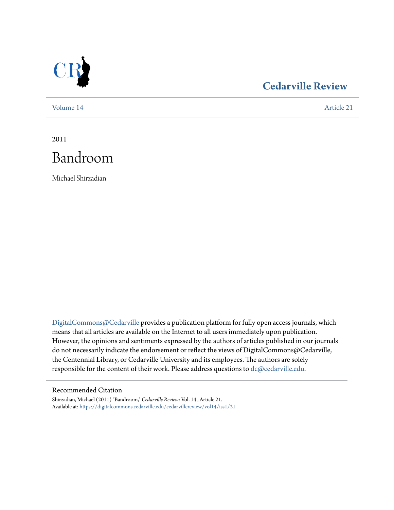

## **[Cedarville Review](https://digitalcommons.cedarville.edu/cedarvillereview?utm_source=digitalcommons.cedarville.edu%2Fcedarvillereview%2Fvol14%2Fiss1%2F21&utm_medium=PDF&utm_campaign=PDFCoverPages)**

[Volume 14](https://digitalcommons.cedarville.edu/cedarvillereview/vol14?utm_source=digitalcommons.cedarville.edu%2Fcedarvillereview%2Fvol14%2Fiss1%2F21&utm_medium=PDF&utm_campaign=PDFCoverPages) [Article 21](https://digitalcommons.cedarville.edu/cedarvillereview/vol14/iss1/21?utm_source=digitalcommons.cedarville.edu%2Fcedarvillereview%2Fvol14%2Fiss1%2F21&utm_medium=PDF&utm_campaign=PDFCoverPages)

2011 Bandroom

Michael Shirzadian

[DigitalCommons@Cedarville](http://digitalcommons.cedarville.edu) provides a publication platform for fully open access journals, which means that all articles are available on the Internet to all users immediately upon publication. However, the opinions and sentiments expressed by the authors of articles published in our journals do not necessarily indicate the endorsement or reflect the views of DigitalCommons@Cedarville, the Centennial Library, or Cedarville University and its employees. The authors are solely responsible for the content of their work. Please address questions to [dc@cedarville.edu](mailto:dc@cedarville.edu).

#### Recommended Citation

Shirzadian, Michael (2011) "Bandroom," *Cedarville Review*: Vol. 14 , Article 21. Available at: [https://digitalcommons.cedarville.edu/cedarvillereview/vol14/iss1/21](https://digitalcommons.cedarville.edu/cedarvillereview/vol14/iss1/21?utm_source=digitalcommons.cedarville.edu%2Fcedarvillereview%2Fvol14%2Fiss1%2F21&utm_medium=PDF&utm_campaign=PDFCoverPages)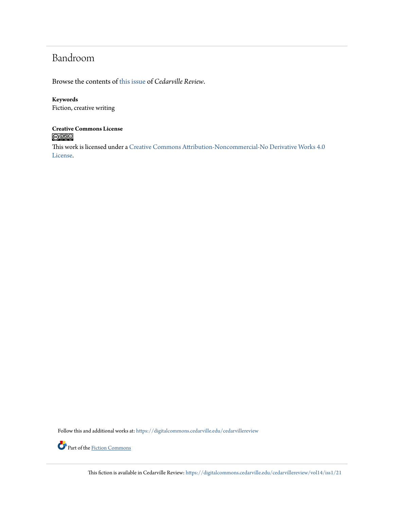## Bandroom

Browse the contents of [this issue](https://digitalcommons.cedarville.edu/cedarvillereview/vol14/iss1) of *Cedarville Review*.

#### **Keywords**

Fiction, creative writing

# **Creative Commons License**

This work is licensed under a [Creative Commons Attribution-Noncommercial-No Derivative Works 4.0](http://creativecommons.org/licenses/by-nc-nd/4.0/) [License.](http://creativecommons.org/licenses/by-nc-nd/4.0/)

Follow this and additional works at: [https://digitalcommons.cedarville.edu/cedarvillereview](https://digitalcommons.cedarville.edu/cedarvillereview?utm_source=digitalcommons.cedarville.edu%2Fcedarvillereview%2Fvol14%2Fiss1%2F21&utm_medium=PDF&utm_campaign=PDFCoverPages)



Part of the [Fiction Commons](http://network.bepress.com/hgg/discipline/1151?utm_source=digitalcommons.cedarville.edu%2Fcedarvillereview%2Fvol14%2Fiss1%2F21&utm_medium=PDF&utm_campaign=PDFCoverPages)

This fiction is available in Cedarville Review: [https://digitalcommons.cedarville.edu/cedarvillereview/vol14/iss1/21](https://digitalcommons.cedarville.edu/cedarvillereview/vol14/iss1/21?utm_source=digitalcommons.cedarville.edu%2Fcedarvillereview%2Fvol14%2Fiss1%2F21&utm_medium=PDF&utm_campaign=PDFCoverPages)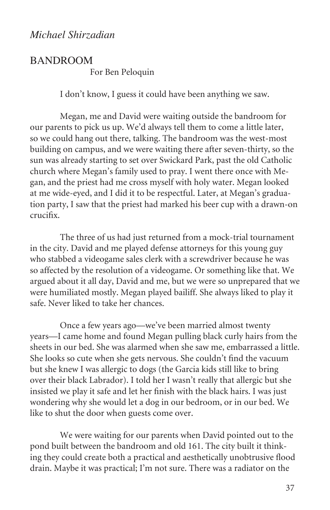### **BANDROOM**

For Ben Peloquin

I don't know, I guess it could have been anything we saw.

Megan, me and David were waiting outside the bandroom for our parents to pick us up. We'd always tell them to come a little later, so we could hang out there, talking. The bandroom was the west-most building on campus, and we were waiting there after seven-thirty, so the sun was already starting to set over Swickard Park, past the old Catholic church where Megan's family used to pray. I went there once with Megan, and the priest had me cross myself with holy water. Megan looked at me wide-eyed, and I did it to be respectful. Later, at Megan's graduation party, I saw that the priest had marked his beer cup with a drawn-on crucifix.

The three of us had just returned from a mock-trial tournament in the city. David and me played defense attorneys for this young guy who stabbed a videogame sales clerk with a screwdriver because he was so affected by the resolution of a videogame. Or something like that. We argued about it all day, David and me, but we were so unprepared that we were humiliated mostly. Megan played bailiff. She always liked to play it safe. Never liked to take her chances.

Once a few years ago—we've been married almost twenty years—I came home and found Megan pulling black curly hairs from the sheets in our bed. She was alarmed when she saw me, embarrassed a little. She looks so cute when she gets nervous. She couldn't find the vacuum but she knew I was allergic to dogs (the Garcia kids still like to bring over their black Labrador). I told her I wasn't really that allergic but she insisted we play it safe and let her finish with the black hairs. I was just wondering why she would let a dog in our bedroom, or in our bed. We like to shut the door when guests come over.

We were waiting for our parents when David pointed out to the pond built between the bandroom and old 161. The city built it thinking they could create both a practical and aesthetically unobtrusive flood drain. Maybe it was practical; I'm not sure. There was a radiator on the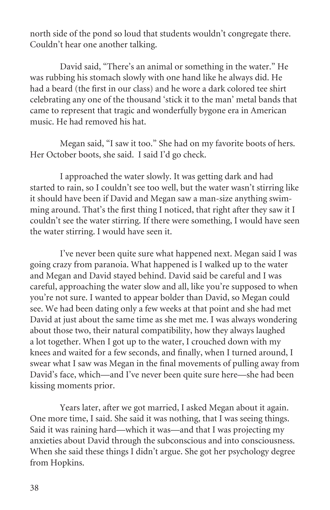north side of the pond so loud that students wouldn't congregate there. Couldn't hear one another talking.

David said, "There's an animal or something in the water." He was rubbing his stomach slowly with one hand like he always did. He had a beard (the first in our class) and he wore a dark colored tee shirt celebrating any one of the thousand 'stick it to the man' metal bands that came to represent that tragic and wonderfully bygone era in American music. He had removed his hat.

Megan said, "I saw it too." She had on my favorite boots of hers. Her October boots, she said. I said I'd go check.

I approached the water slowly. It was getting dark and had started to rain, so I couldn't see too well, but the water wasn't stirring like it should have been if David and Megan saw a man-size anything swimming around. That's the first thing I noticed, that right after they saw it I couldn't see the water stirring. If there were something, I would have seen the water stirring. I would have seen it.

I've never been quite sure what happened next. Megan said I was going crazy from paranoia. What happened is I walked up to the water and Megan and David stayed behind. David said be careful and I was careful, approaching the water slow and all, like you're supposed to when you're not sure. I wanted to appear bolder than David, so Megan could see. We had been dating only a few weeks at that point and she had met David at just about the same time as she met me. I was always wondering about those two, their natural compatibility, how they always laughed a lot together. When I got up to the water, I crouched down with my knees and waited for a few seconds, and finally, when I turned around, I swear what I saw was Megan in the final movements of pulling away from David's face, which—and I've never been quite sure here—she had been kissing moments prior.

Years later, after we got married, I asked Megan about it again. One more time, I said. She said it was nothing, that I was seeing things. Said it was raining hard—which it was—and that I was projecting my anxieties about David through the subconscious and into consciousness. When she said these things I didn't argue. She got her psychology degree from Hopkins.